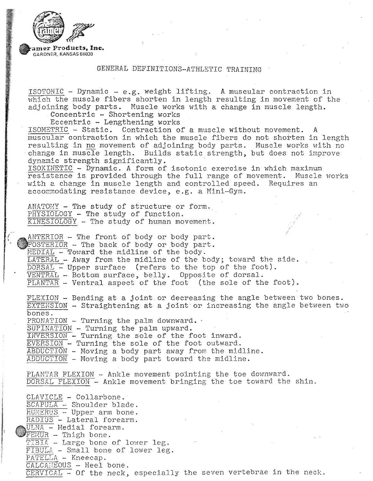

## GENERAL DEFINITIONS-ATHLETIC TRAINING

ISOTONIC - Dynamic - e.g. weight lifting. A muscular contraction in  $\overline{\text{which}}$  the muscle fibers shorten in length resulting in movement of the adjoining body parts. Muscle works with a change in muscle length.<br>Concentric - Shortening works

Eccentric - Lengthening works·

ISOMETRIC - Static. Contraction of a muscle without movement. muscular contraction in which the muscle fibers do not shorten in length resulting in no movement of adjoining body parts. Muscle works with no change in muscle length. Builds static strength, but does not improve dynamic strength significantly.

ISOKINETIC - Dynamic. A form of isotonic exercise in which maximum resistance is provided through the full range of movement. Muscle works with a change in muscle length and controlled speed. Requires an accommodating resistance device, e.g. a Mini-Gym.

...

ANATOMY - The study of structure or form.<br>PHYSIOLOGY - The study of function.  $\overline{\text{KINESIOLOGY}}$  - The study of human movement.

 $ANTERIOR - The front of body or body part.$ POSTERIOR - The back of body or body part.  $\overline{\text{MEDIAL}}$  - Toward the midline of the body. LATERAL - Away from the midline of the body; toward the side.  $\overline{\text{DORSAL}}$  – Upper surface (refers to the top of the foot). VENTRAL - Bottom surface, belly. Opposite of dorsal.  $\overline{\text{PLANTAR}}$  - Ventral aspect of the foot (the sole of the foot).

FLEXION - Bending at a joint or decreasing the angle between two bones. EXTENSiON - Straightening at a joint or increasing the angle between two bones.  $PRONATION - Turning the palm downward.$ <br>SUPINATION - Turning the palm upward. INVERSION - Turning the sole of the foot inward. EVERSION - Turning the sole of the foot outward. ABDUCTiON - Moving a body part away from the midline.

ADDUCTION - Moving a body part toward the midline.

PLANTAR FLEXION - Ankle movement pointing the toe downward. DORSAL FLEXION - Ankle movement bringing the toe toward the shin.

CLAVICLE - Collarbone. SCAPULA - Shoulder blade.  $H\overline{U\text{MERUS}}$  - Upper arm bone. RADIUS - Lateral forearm. ULNA - Medial forearm. FEMUR - Thigh bone. TIBIA - Large bone of lower leg. FIBULA - Small bone of lower leg. PATELLA - Kneecap.  $\overline{\text{CALCA}}$  =  $\overline{\text{EOUS}}$  - Heel bone. CERVICAL - Of the neck, especially the seven vertebrae in the neck.